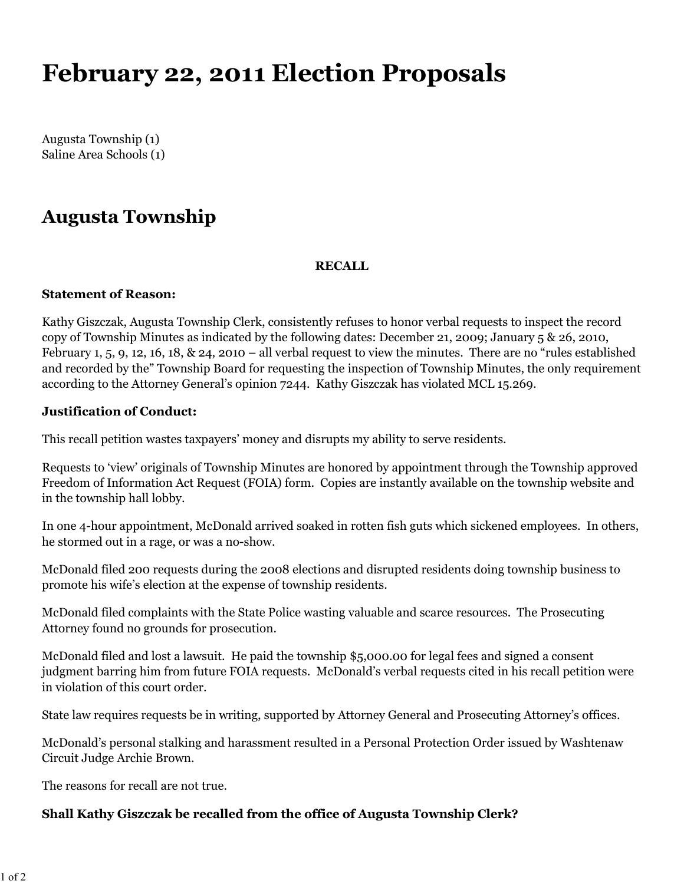# **February 22, 2011 Election Proposals**

Augusta Township (1) Saline Area Schools (1)

# **Augusta Township**

### **RECALL**

#### **Statement of Reason:**

Kathy Giszczak, Augusta Township Clerk, consistently refuses to honor verbal requests to inspect the record copy of Township Minutes as indicated by the following dates: December 21, 2009; January 5 & 26, 2010, February 1, 5, 9, 12, 16, 18, & 24, 2010 – all verbal request to view the minutes. There are no "rules established and recorded by the" Township Board for requesting the inspection of Township Minutes, the only requirement according to the Attorney General's opinion 7244. Kathy Giszczak has violated MCL 15.269.

### **Justification of Conduct:**

This recall petition wastes taxpayers' money and disrupts my ability to serve residents.

Requests to 'view' originals of Township Minutes are honored by appointment through the Township approved Freedom of Information Act Request (FOIA) form. Copies are instantly available on the township website and in the township hall lobby.

In one 4-hour appointment, McDonald arrived soaked in rotten fish guts which sickened employees. In others, he stormed out in a rage, or was a no-show.

McDonald filed 200 requests during the 2008 elections and disrupted residents doing township business to promote his wife's election at the expense of township residents.

McDonald filed complaints with the State Police wasting valuable and scarce resources. The Prosecuting Attorney found no grounds for prosecution.

McDonald filed and lost a lawsuit. He paid the township \$5,000.00 for legal fees and signed a consent judgment barring him from future FOIA requests. McDonald's verbal requests cited in his recall petition were in violation of this court order.

State law requires requests be in writing, supported by Attorney General and Prosecuting Attorney's offices.

McDonald's personal stalking and harassment resulted in a Personal Protection Order issued by Washtenaw Circuit Judge Archie Brown.

The reasons for recall are not true.

### **Shall Kathy Giszczak be recalled from the office of Augusta Township Clerk?**